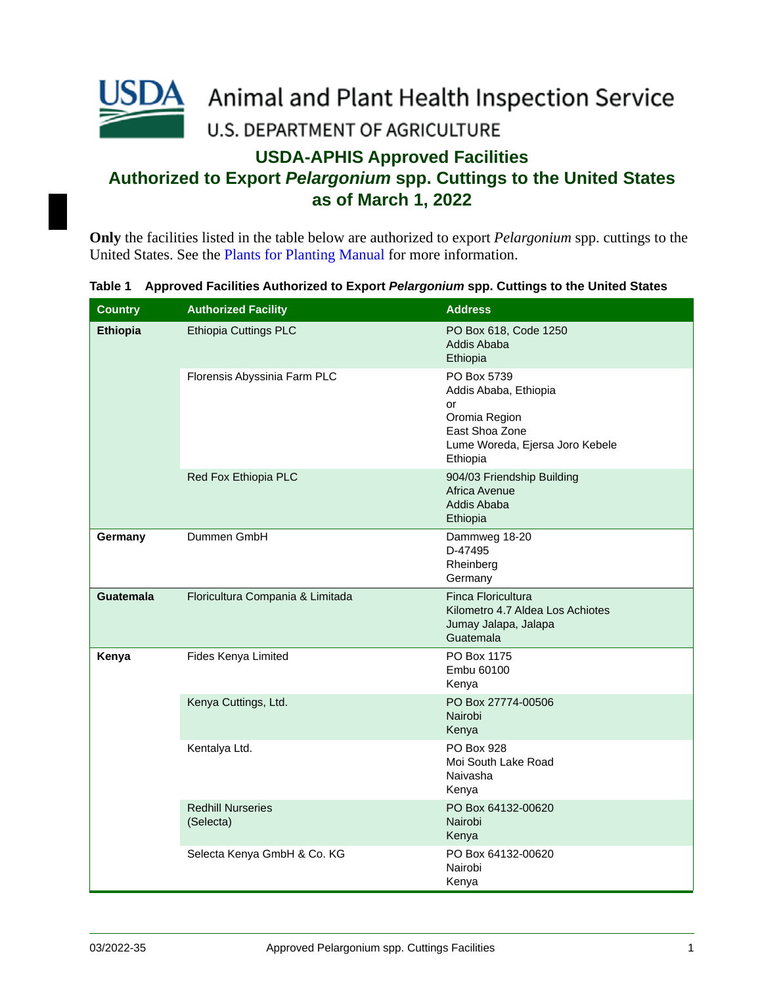

## **USDA-APHIS Approved Facilities Authorized to Export** *Pelargonium* **spp. Cuttings to the United States**

**as of March 1, 2022**

**Only** the facilities listed in the table below are authorized to export *Pelargonium* spp. cuttings to the United States. See the [Plants for Planting Manual](http://www.aphis.usda.gov/import_export/plants/manuals/ports/downloads/plants_for_planting.pdf) for more information.

|  | Table 1  Approved Facilities Authorized to Export <i>Pelargonium</i> spp. Cuttings to the United States |  |  |  |  |
|--|---------------------------------------------------------------------------------------------------------|--|--|--|--|
|--|---------------------------------------------------------------------------------------------------------|--|--|--|--|

| <b>Country</b>   | <b>Authorized Facility</b>            | <b>Address</b>                                                                                                               |
|------------------|---------------------------------------|------------------------------------------------------------------------------------------------------------------------------|
| <b>Ethiopia</b>  | <b>Ethiopia Cuttings PLC</b>          | PO Box 618, Code 1250<br>Addis Ababa<br>Ethiopia                                                                             |
|                  | Florensis Abyssinia Farm PLC          | PO Box 5739<br>Addis Ababa, Ethiopia<br>or<br>Oromia Region<br>East Shoa Zone<br>Lume Woreda, Ejersa Joro Kebele<br>Ethiopia |
|                  | Red Fox Ethiopia PLC                  | 904/03 Friendship Building<br>Africa Avenue<br>Addis Ababa<br>Ethiopia                                                       |
| Germany          | Dummen GmbH                           | Dammweg 18-20<br>D-47495<br>Rheinberg<br>Germany                                                                             |
| <b>Guatemala</b> | Floricultura Compania & Limitada      | Finca Floricultura<br>Kilometro 4.7 Aldea Los Achiotes<br>Jumay Jalapa, Jalapa<br>Guatemala                                  |
| Kenya            | Fides Kenya Limited                   | PO Box 1175<br>Embu 60100<br>Kenya                                                                                           |
|                  | Kenya Cuttings, Ltd.                  | PO Box 27774-00506<br>Nairobi<br>Kenya                                                                                       |
|                  | Kentalya Ltd.                         | PO Box 928<br>Moi South Lake Road<br>Naivasha<br>Kenya                                                                       |
|                  | <b>Redhill Nurseries</b><br>(Selecta) | PO Box 64132-00620<br>Nairobi<br>Kenya                                                                                       |
|                  | Selecta Kenya GmbH & Co. KG           | PO Box 64132-00620<br>Nairobi<br>Kenya                                                                                       |